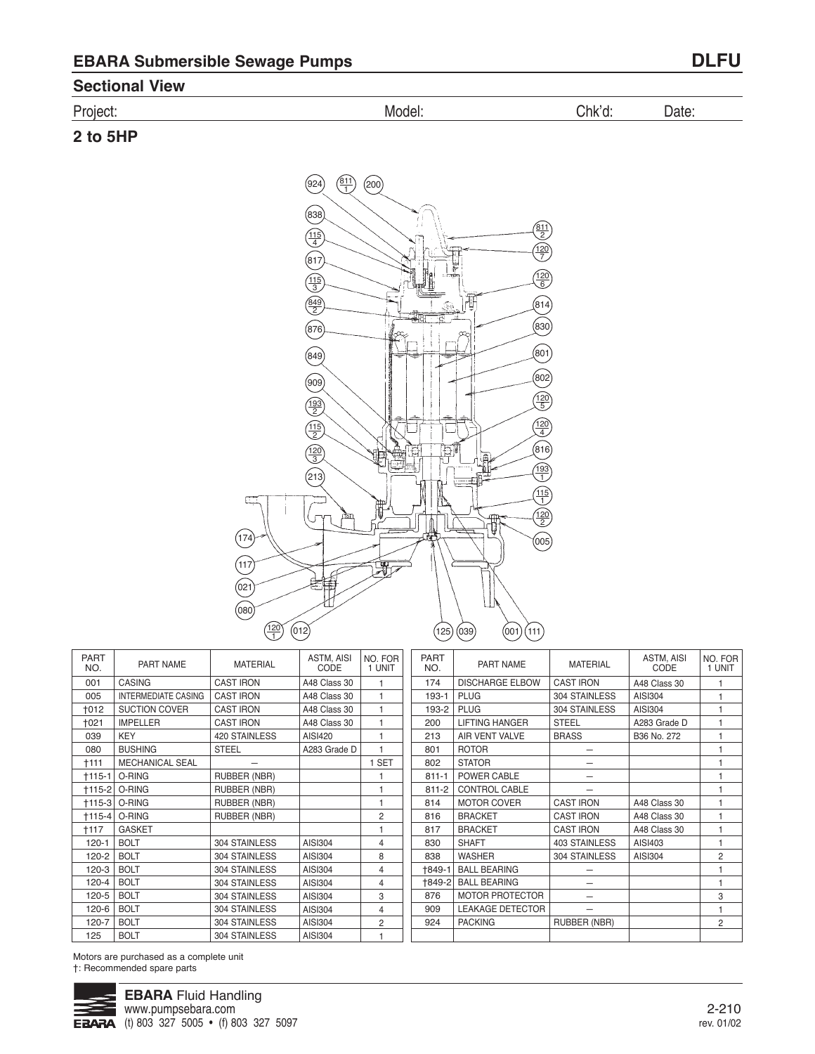# **Sectional View**

| Project: | Model: | Chk'd: | Date: |  |
|----------|--------|--------|-------|--|
| 2 to 5HP |        |        |       |  |



| <b>PART</b><br>NO. | PART NAME                  | <b>MATERIAL</b>     | ASTM, AISI<br>CODE | NO. FOR<br>1 UNIT | <b>PART</b><br>NO. |                |
|--------------------|----------------------------|---------------------|--------------------|-------------------|--------------------|----------------|
| 001                | <b>CASING</b>              | <b>CAST IRON</b>    | A48 Class 30       | 1                 | 174                | DI             |
| 005                | <b>INTERMEDIATE CASING</b> | <b>CAST IRON</b>    | A48 Class 30       | 1                 | 193-1              | PL             |
| $+012$             | <b>SUCTION COVER</b>       | <b>CAST IRON</b>    | A48 Class 30       | 1                 | 193-2              | PL             |
| $+021$             | <b>IMPELLER</b>            | <b>CAST IRON</b>    | A48 Class 30       | 1                 | 200                | LII            |
| 039                | <b>KEY</b>                 | 420 STAINLESS       | AISI420            | 1                 | 213                | AI             |
| 080                | <b>BUSHING</b>             | <b>STEEL</b>        | A283 Grade D       | 1                 | 801                | R <sub>C</sub> |
| $+111$             | <b>MECHANICAL SEAL</b>     |                     |                    | 1 SET             | 802                | S <sub>1</sub> |
| $+115-1$           | O-RING                     | <b>RUBBER (NBR)</b> |                    | 1                 | $811 - 1$          | P <sub>C</sub> |
|                    | †115-2   O-RING            | <b>RUBBER (NBR)</b> |                    | 1                 | $811 - 2$          | C(             |
| $+115-3$           | O-RING                     | <b>RUBBER (NBR)</b> |                    | 1                 | 814                | M              |
| $+115-4$           | O-RING                     | <b>RUBBER (NBR)</b> |                    | $\overline{2}$    | 816                | BF             |
| $+117$             | <b>GASKET</b>              |                     |                    | 1                 | 817                | BF             |
| $120 - 1$          | <b>BOLT</b>                | 304 STAINLESS       | AISI304            | 4                 | 830                | Sŀ             |
| 120-2              | <b>BOLT</b>                | 304 STAINLESS       | AISI304            | 8                 | 838                | W.             |
| $120-3$            | <b>BOLT</b>                | 304 STAINLESS       | AISI304            | 4                 | +849-1             | B/             |
| $120 - 4$          | <b>BOLT</b>                | 304 STAINLESS       | AISI304            | 4                 | +849-2             | B/             |
| 120-5              | <b>BOLT</b>                | 304 STAINLESS       | AISI304            | 3                 | 876                | M              |
| 120-6              | <b>BOLT</b>                | 304 STAINLESS       | AISI304            | 4                 | 909                | LE             |
| 120-7              | <b>BOLT</b>                | 304 STAINLESS       | AISI304            | 2                 | 924                | PA             |
| 125                | <b>BOLT</b>                | 304 STAINLESS       | AISI304            | 1                 |                    |                |
|                    |                            |                     |                    |                   |                    |                |

| PART<br>NO. | PART NAME               | <b>MATERIAL</b>      | ASTM, AISI<br>CODE | NO. FOR I<br>1 UNIT |
|-------------|-------------------------|----------------------|--------------------|---------------------|
| 174         | <b>DISCHARGE ELBOW</b>  | <b>CAST IRON</b>     | A48 Class 30       | 1                   |
| 193-1       | <b>PLUG</b>             | 304 STAINLESS        | AISI304            | 1                   |
| 193-2       | <b>PLUG</b>             | 304 STAINLESS        | AISI304            | 1                   |
| 200         | <b>LIFTING HANGER</b>   | <b>STEEL</b>         | A283 Grade D       | 1                   |
| 213         | AIR VENT VALVE          | <b>BRASS</b>         | B36 No. 272        | 1                   |
| 801         | <b>ROTOR</b>            |                      |                    | 1                   |
| 802         | <b>STATOR</b>           |                      |                    | 1                   |
| $811 - 1$   | POWER CABLE             |                      |                    | 1                   |
| $811 - 2$   | CONTROL CABLE           |                      |                    | 1                   |
| 814         | <b>MOTOR COVER</b>      | <b>CAST IRON</b>     | A48 Class 30       | 1                   |
| 816         | <b>BRACKET</b>          | <b>CAST IRON</b>     | A48 Class 30       | 1                   |
| 817         | <b>BRACKET</b>          | <b>CAST IRON</b>     | A48 Class 30       | 1                   |
| 830         | <b>SHAFT</b>            | <b>403 STAINLESS</b> | AISI403            | 1                   |
| 838         | <b>WASHER</b>           | 304 STAINLESS        | AISI304            | $\overline{2}$      |
| 1849-1      | <b>BALL BEARING</b>     |                      |                    | 1                   |
| +849-2      | <b>BALL BEARING</b>     |                      |                    | 1                   |
| 876         | <b>MOTOR PROTECTOR</b>  |                      |                    | 3                   |
| 909         | <b>LEAKAGE DETECTOR</b> |                      |                    | 1                   |
| 924         | <b>PACKING</b>          | RUBBER (NBR)         |                    | $\overline{2}$      |
|             |                         |                      |                    |                     |

Motors are purchased as a complete unit †: Recommended spare parts

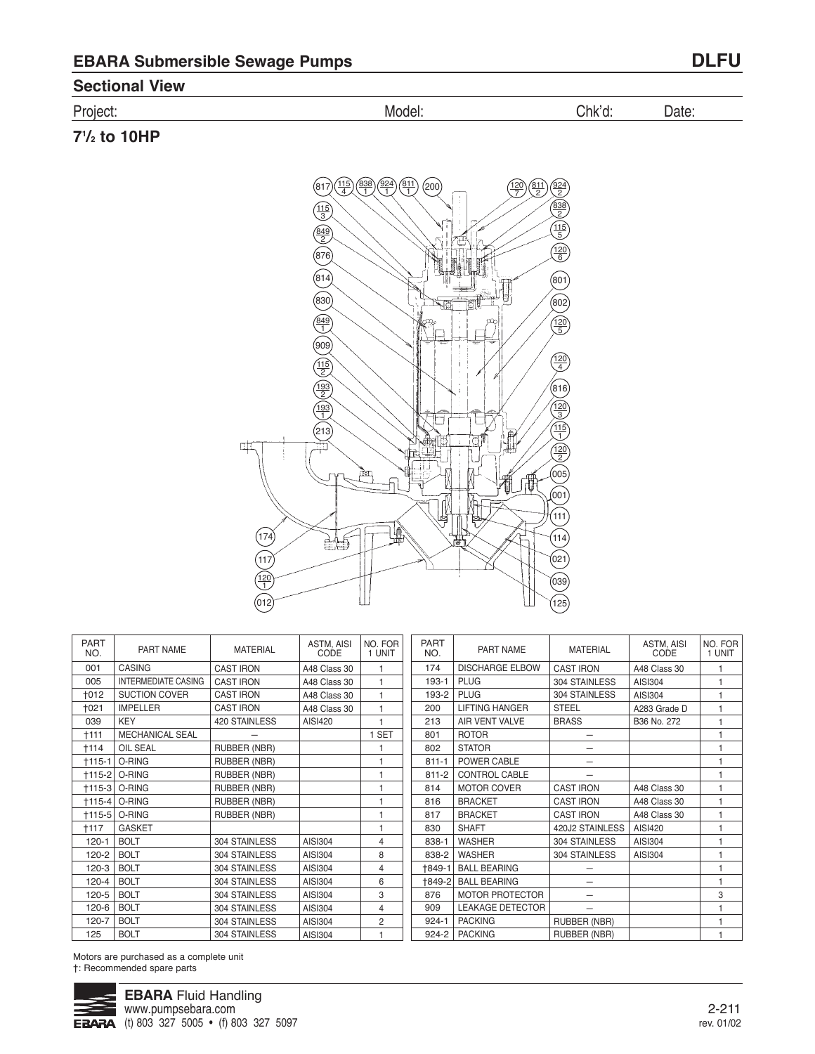### **Sectional View**

| n.<br>P۳<br>ำเค<br>ັ.<br>. | N/I)<br>″ )( 1⊩<br>ייש | .nk |  |
|----------------------------|------------------------|-----|--|

**71 /2 to 10HP**



| <b>PART</b><br>NO. | PART NAME                  | <b>MATERIAL</b>     | ASTM, AISI<br>CODE | NO. FOR<br>1 UNIT | <b>PART</b><br>NO. | <b>PART NAME</b>        | <b>MATERIAL</b>  |
|--------------------|----------------------------|---------------------|--------------------|-------------------|--------------------|-------------------------|------------------|
| 001                | <b>CASING</b>              | <b>CAST IRON</b>    | A48 Class 30       | 1                 | 174                | <b>DISCHARGE ELBOW</b>  | <b>CAST IRON</b> |
| 005                | <b>INTERMEDIATE CASING</b> | <b>CAST IRON</b>    | A48 Class 30       | 1                 | 193-1              | <b>PLUG</b>             | 304 STAINLESS    |
| $+012$             | <b>SUCTION COVER</b>       | <b>CAST IRON</b>    | A48 Class 30       | 1                 | 193-2              | <b>PLUG</b>             | 304 STAINLESS    |
| <b>+021</b>        | <b>IMPELLER</b>            | <b>CAST IRON</b>    | A48 Class 30       | $\overline{1}$    | 200                | <b>LIFTING HANGER</b>   | <b>STEEL</b>     |
| 039                | <b>KEY</b>                 | 420 STAINLESS       | AISI420            |                   | 213                | AIR VENT VALVE          | <b>BRASS</b>     |
| <b>+111</b>        | <b>MECHANICAL SEAL</b>     |                     |                    | 1 SET             | 801                | <b>ROTOR</b>            |                  |
| <b>t114</b>        | <b>OIL SEAL</b>            | <b>RUBBER (NBR)</b> |                    |                   | 802                | <b>STATOR</b>           |                  |
| $+115-1$           | O-RING                     | <b>RUBBER (NBR)</b> |                    |                   | $811 - 1$          | POWER CABLE             |                  |
| $+115-2$           | O-RING                     | RUBBER (NBR)        |                    |                   | $811 - 2$          | <b>CONTROL CABLE</b>    |                  |
| $+115-3$           | O-RING                     | <b>RUBBER (NBR)</b> |                    |                   | 814                | <b>MOTOR COVER</b>      | <b>CAST IRON</b> |
| $+115-4$           | O-RING                     | <b>RUBBER (NBR)</b> |                    |                   | 816                | <b>BRACKET</b>          | <b>CAST IRON</b> |
| $+115-5$           | O-RING                     | <b>RUBBER (NBR)</b> |                    |                   | 817                | <b>BRACKET</b>          | <b>CAST IRON</b> |
| <b>+117</b>        | <b>GASKET</b>              |                     |                    |                   | 830                | <b>SHAFT</b>            | 420J2 STAINLESS  |
| $120 - 1$          | <b>BOLT</b>                | 304 STAINLESS       | AISI304            | 4                 | 838-1              | <b>WASHER</b>           | 304 STAINLESS    |
| 120-2              | <b>BOLT</b>                | 304 STAINLESS       | AISI304            | 8                 | 838-2              | <b>WASHER</b>           | 304 STAINLESS    |
| 120-3              | <b>BOLT</b>                | 304 STAINLESS       | AISI304            | 4                 | 1849-1             | <b>BALL BEARING</b>     |                  |
| 120-4              | <b>BOLT</b>                | 304 STAINLESS       | AISI304            | 6                 | +849-2             | <b>BALL BEARING</b>     |                  |
| 120-5              | <b>BOLT</b>                | 304 STAINLESS       | AISI304            | 3                 | 876                | <b>MOTOR PROTECTOR</b>  |                  |
| 120-6              | <b>BOLT</b>                | 304 STAINLESS       | AISI304            | 4                 | 909                | <b>LEAKAGE DETECTOR</b> |                  |
| 120-7              | <b>BOLT</b>                | 304 STAINLESS       | AISI304            | 2                 | $924 - 1$          | <b>PACKING</b>          | RUBBER (NBR)     |
| 125                | <b>BOLT</b>                | 304 STAINLESS       | AISI304            |                   | 924-2              | <b>PACKING</b>          | RUBBER (NBR)     |

Motors are purchased as a complete unit †: Recommended spare parts



ASTM, AISI CODE A48 Class 30 AISI304 AISI304 A283 Grade D B36 No. 272

A48 Class 30 A48 Class 30 A48 Class 30 AISI420 AISI304 AISI304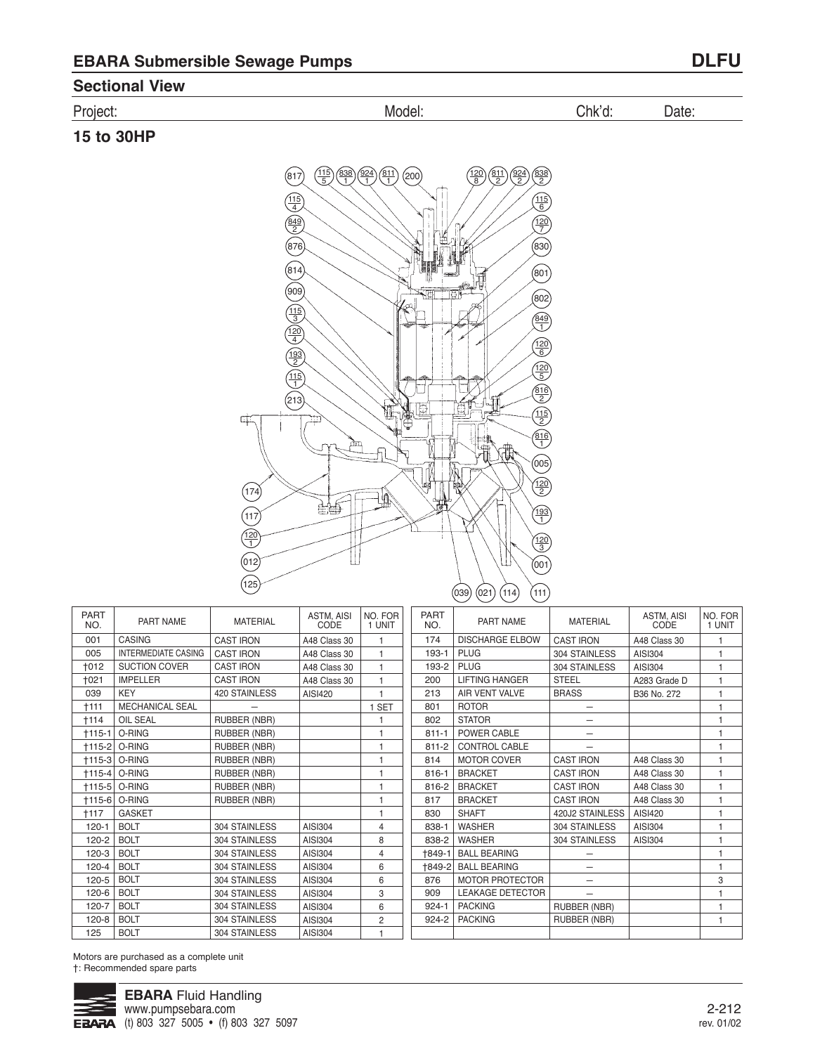## Project: Model: Chk'd: Date:

## **15 to 30HP**



PART NO. 174 193-1 193-2 200 213

PART NAME DISCHARGE ELBOW

LIFTING HANGER **AIR**VENT
VALVE

PLUG PLUG

| <b>PART</b><br>NO. | PART NAME                  | <b>MATERIAL</b>     | ASTM, AISI<br>CODE | NO. FOR<br>1 UNIT |
|--------------------|----------------------------|---------------------|--------------------|-------------------|
| 001                | <b>CASING</b>              | <b>CAST IRON</b>    | A48 Class 30       | 1                 |
| 005                | <b>INTERMEDIATE CASING</b> | <b>CAST IRON</b>    | A48 Class 30       | 1                 |
| <b>+012</b>        | <b>SUCTION COVER</b>       | <b>CAST IRON</b>    | A48 Class 30       | 1                 |
| +021               | <b>IMPELLER</b>            | <b>CAST IRON</b>    | A48 Class 30       | 1                 |
| 039                | <b>KEY</b>                 | 420 STAINLESS       | AISI420            | 1                 |
| †111               | <b>MECHANICAL SEAL</b>     |                     |                    | 1 SET             |
| $+114$             | <b>OIL SEAL</b>            | <b>RUBBER (NBR)</b> |                    | 1                 |
| $+115-1$           | O-RING                     | RUBBER (NBR)        |                    | 1                 |
|                    | †115-2 O-RING              | <b>RUBBER (NBR)</b> |                    | 1                 |
|                    | <b>+115-3 O-RING</b>       | <b>RUBBER (NBR)</b> |                    | 1                 |
|                    | †115-4 O-RING              | <b>RUBBER (NBR)</b> |                    | 1                 |
|                    | †115-5 O-RING              | <b>RUBBER (NBR)</b> |                    | 1                 |
|                    | <b>+115-6 O-RING</b>       | <b>RUBBER (NBR)</b> |                    | 1                 |
| †117               | <b>GASKET</b>              |                     |                    | 1                 |
| $120 - 1$          | <b>BOLT</b>                | 304 STAINLESS       | AISI304            | 4                 |
| 120-2              | <b>BOLT</b>                | 304 STAINLESS       | AISI304            | 8                 |
| 120-3              | <b>BOLT</b>                | 304 STAINLESS       | AISI304            | 4                 |
| 120-4              | <b>BOLT</b>                | 304 STAINLESS       | AISI304            | 6                 |
| 120-5              | <b>BOLT</b>                | 304 STAINLESS       | AISI304            | 6                 |
| 120-6              | <b>BOLT</b>                | 304 STAINLESS       | AISI304            | 3                 |
| 120-7              | <b>BOLT</b>                | 304 STAINLESS       | AISI304            | 6                 |
| 120-8              | <b>BOLT</b>                | 304 STAINLESS       | AISI304            | $\overline{2}$    |
| 125                | <b>BOLT</b>                | 304 STAINLESS       | AISI304            | 1                 |

801 802 811-1 811-2 814 816-1 816-2 817 830 838-1 838-2 †849-1 †849-2 876 909 924-1 924-2 ROTOR **STATOR** POWER CABLE CONTROL CABLE MOTOR COVER BRACKET BRACKET BRACKET **SHAFT** WASHER WASHER BALL BEARING BALL BEARING MOTOR PROTECTOR LEAKAGE DETECTOR PACKING PACKING — — — — CAST IRON CAST IRON CAST IRON CAST IRON 420J2 STAINLESS 304 STAINLESS 304 STAINLESS — — — — RUBBER (NBR) RUBBER (NBR) A48 Class 30 A48 Class 30 A48 Class 30 A48 Class 30 AISI420 AISI304 AISI304

MATERIAL CAST IRON 304 STAINLESS 304 STAINLESS **STEEL** BRASS

ASTM, AISI **CODE** A48 Class 30 AISI304 AISI304 A283 Grade D B36 No. 272

Motors are purchased as a complete unit †: Recommended spare parts

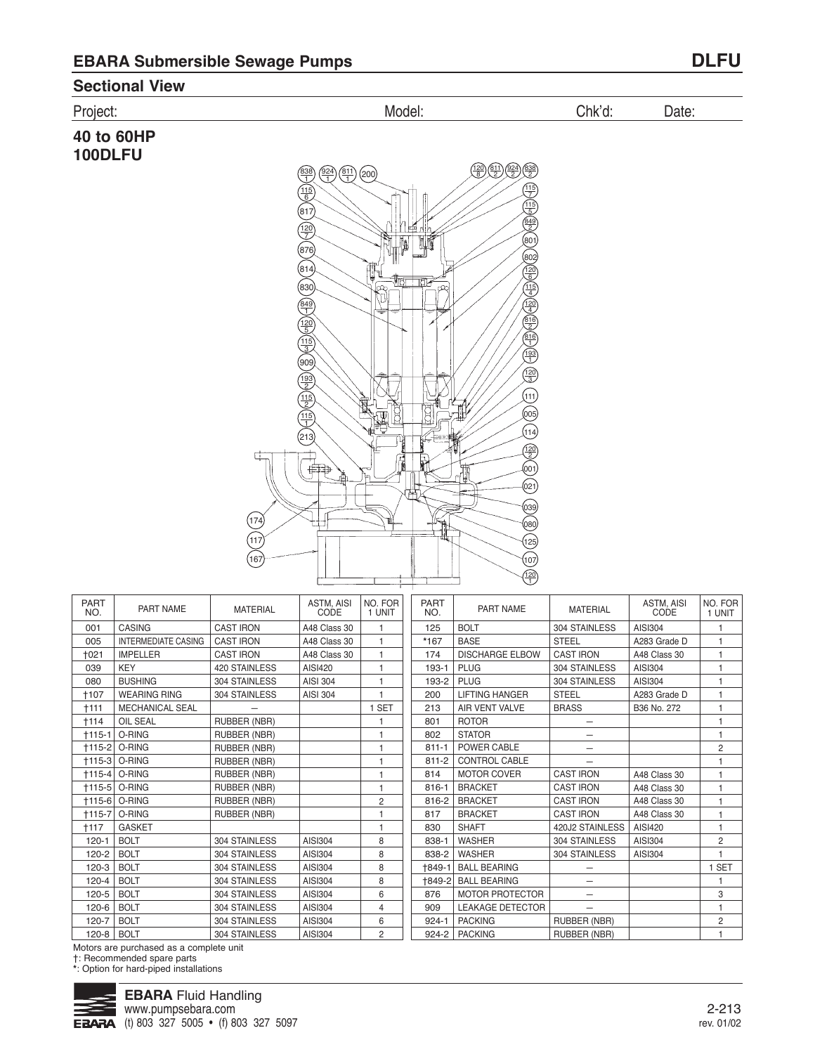117 167

### **Sectional View**



| <b>PART</b><br>NO. | PART NAME                  | <b>MATERIAL</b>     | <b>ASTM, AISI</b><br>CODE | NO. FOR<br>1 UNIT | <b>PART</b><br>NO. | PART NAME               | <b>MATERIAL</b>          | ASTM, AISI<br>CODE | NO. FOR<br>1 UNIT |
|--------------------|----------------------------|---------------------|---------------------------|-------------------|--------------------|-------------------------|--------------------------|--------------------|-------------------|
| 001                | <b>CASING</b>              | <b>CAST IRON</b>    | A48 Class 30              |                   | 125                | <b>BOLT</b>             | 304 STAINLESS            | AISI304            | 1                 |
| 005                | <b>INTERMEDIATE CASING</b> | <b>CAST IRON</b>    | A48 Class 30              | 1                 | *167               | <b>BASE</b>             | <b>STEEL</b>             | A283 Grade D       | 1                 |
| <b>+021</b>        | <b>IMPELLER</b>            | <b>CAST IRON</b>    | A48 Class 30              | $\overline{1}$    | 174                | <b>DISCHARGE ELBOW</b>  | <b>CAST IRON</b>         | A48 Class 30       | $\mathbf{1}$      |
| 039                | <b>KEY</b>                 | 420 STAINLESS       | AISI420                   | $\overline{1}$    | 193-1              | <b>PLUG</b>             | 304 STAINLESS            | AISI304            | $\mathbf{1}$      |
| 080                | <b>BUSHING</b>             | 304 STAINLESS       | <b>AISI 304</b>           | 1                 | 193-2              | <b>PLUG</b>             | 304 STAINLESS            | AISI304            | 1                 |
| <b>+107</b>        | <b>WEARING RING</b>        | 304 STAINLESS       | <b>AISI 304</b>           |                   | 200                | <b>LIFTING HANGER</b>   | <b>STEEL</b>             | A283 Grade D       | 1                 |
| <b>+111</b>        | <b>MECHANICAL SEAL</b>     |                     |                           | <b>SET</b>        | 213                | AIR VENT VALVE          | <b>BRASS</b>             | B36 No. 272        | $\overline{1}$    |
| <b>+114</b>        | OIL SEAL                   | <b>RUBBER (NBR)</b> |                           |                   | 801                | <b>ROTOR</b>            |                          |                    | 1                 |
| $+115-1$           | O-RING                     | RUBBER (NBR)        |                           |                   | 802                | <b>STATOR</b>           | —                        |                    | $\mathbf{1}$      |
| $+115-2$           | O-RING                     | RUBBER (NBR)        |                           | 1                 | $811 - 1$          | POWER CABLE             | $\overline{\phantom{0}}$ |                    | $\overline{c}$    |
| $+115-3$           | O-RING                     | RUBBER (NBR)        |                           |                   | $811 - 2$          | <b>CONTROL CABLE</b>    | $\overline{\phantom{0}}$ |                    | 1                 |
| $+115-4$           | O-RING                     | RUBBER (NBR)        |                           |                   | 814                | <b>MOTOR COVER</b>      | <b>CAST IRON</b>         | A48 Class 30       | 1                 |
| $+115-5$           | O-RING                     | RUBBER (NBR)        |                           |                   | 816-1              | <b>BRACKET</b>          | <b>CAST IRON</b>         | A48 Class 30       | $\overline{1}$    |
| $+115-6$           | O-RING                     | RUBBER (NBR)        |                           | $\overline{c}$    | 816-2              | <b>BRACKET</b>          | <b>CAST IRON</b>         | A48 Class 30       | $\mathbf{1}$      |
| $+115-7$           | O-RING                     | <b>RUBBER (NBR)</b> |                           |                   | 817                | <b>BRACKET</b>          | <b>CAST IRON</b>         | A48 Class 30       | $\mathbf{1}$      |
| $+117$             | <b>GASKET</b>              |                     |                           | $\overline{1}$    | 830                | <b>SHAFT</b>            | 420J2 STAINLESS          | AISI420            | 1                 |
| $120 - 1$          | <b>BOLT</b>                | 304 STAINLESS       | AISI304                   | 8                 | 838-1              | <b>WASHER</b>           | 304 STAINLESS            | AISI304            | $\overline{2}$    |
| 120-2              | <b>BOLT</b>                | 304 STAINLESS       | AISI304                   | 8                 | 838-2              | <b>WASHER</b>           | 304 STAINLESS            | AISI304            | $\overline{1}$    |
| $120 - 3$          | <b>BOLT</b>                | 304 STAINLESS       | AISI304                   | 8                 | +849-1             | <b>BALL BEARING</b>     |                          |                    | 1 SET             |
| $120 - 4$          | <b>BOLT</b>                | 304 STAINLESS       | AISI304                   | 8                 | +849-2             | <b>BALL BEARING</b>     | —                        |                    | 1                 |
| 120-5              | <b>BOLT</b>                | 304 STAINLESS       | AISI304                   | 6                 | 876                | <b>MOTOR PROTECTOR</b>  | $\overline{\phantom{0}}$ |                    | 3                 |
| 120-6              | <b>BOLT</b>                | 304 STAINLESS       | AISI304                   | $\overline{4}$    | 909                | <b>LEAKAGE DETECTOR</b> |                          |                    | $\mathbf{1}$      |
| 120-7              | <b>BOLT</b>                | 304 STAINLESS       | AISI304                   | 6                 | $924 - 1$          | <b>PACKING</b>          | <b>RUBBER (NBR)</b>      |                    | $\overline{2}$    |
| $120 - 8$          | <b>BOLT</b>                | 304 STAINLESS       | AISI304                   | $\overline{2}$    | 924-2              | <b>PACKING</b>          | <b>RUBBER (NBR)</b>      |                    | $\overline{1}$    |
|                    |                            |                     |                           |                   |                    |                         |                          |                    |                   |

120 1

(107)

Motors are purchased as a complete unit

†: Recommended spare parts

**\***: Option for hard-piped installations